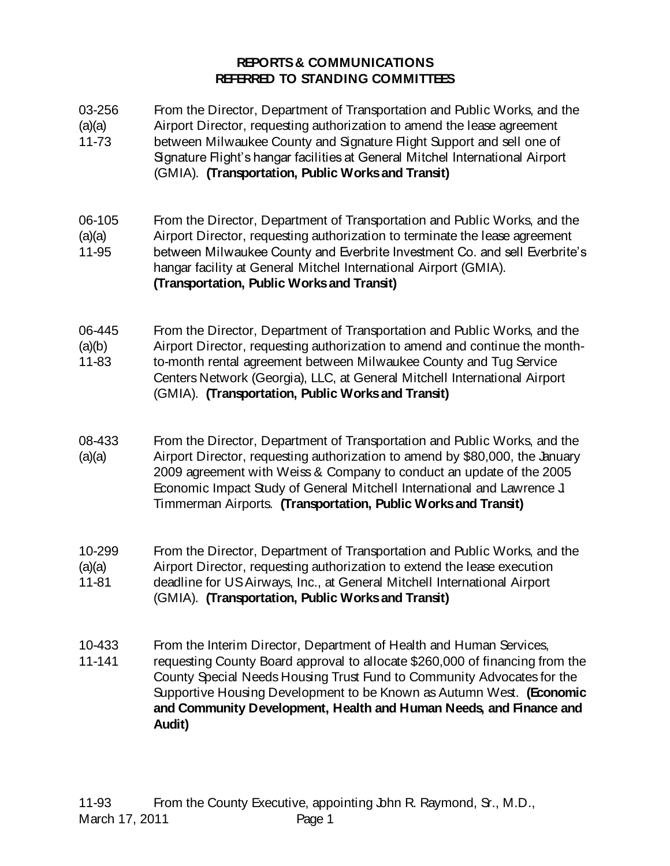## **REPORTS & COMMUNICATIONS REFERRED TO STANDING COMMITTEES**

| 03-256<br>(a)(a)<br>11-73 | From the Director, Department of Transportation and Public Works, and the<br>Airport Director, requesting authorization to amend the lease agreement<br>between Milwaukee County and Signature Flight Support and sell one of<br>Signature Flight's hangar facilities at General Mitchel International Airport<br>(GMIA). (Transportation, Public Works and Transit)                  |
|---------------------------|---------------------------------------------------------------------------------------------------------------------------------------------------------------------------------------------------------------------------------------------------------------------------------------------------------------------------------------------------------------------------------------|
| 06-105<br>(a)(a)<br>11-95 | From the Director, Department of Transportation and Public Works, and the<br>Airport Director, requesting authorization to terminate the lease agreement<br>between Milwaukee County and Everbrite Investment Co. and sell Everbrite's<br>hangar facility at General Mitchel International Airport (GMIA).<br>(Transportation, Public Works and Transit)                              |
| 06-445<br>(a)(b)<br>11-83 | From the Director, Department of Transportation and Public Works, and the<br>Airport Director, requesting authorization to amend and continue the month-<br>to-month rental agreement between Milwaukee County and Tug Service<br>Centers Network (Georgia), LLC, at General Mitchell International Airport<br>(GMIA). (Transportation, Public Works and Transit)                     |
| 08-433<br>(a)(a)          | From the Director, Department of Transportation and Public Works, and the<br>Airport Director, requesting authorization to amend by \$80,000, the January<br>2009 agreement with Weiss & Company to conduct an update of the 2005<br>Economic Impact Study of General Mitchell International and Lawrence J<br>Timmerman Airports. (Transportation, Public Works and Transit)         |
| 10-299<br>(a)(a)<br>11-81 | From the Director, Department of Transportation and Public Works, and the<br>Airport Director, requesting authorization to extend the lease execution<br>deadline for US Airways, Inc., at General Mitchell International Airport<br>(GMIA). (Transportation, Public Works and Transit)                                                                                               |
| 10-433<br>11-141          | From the Interim Director, Department of Health and Human Services,<br>requesting County Board approval to allocate \$260,000 of financing from the<br>County Special Needs Housing Trust Fund to Community Advocates for the<br>Supportive Housing Development to be Known as Autumn West. (Economic<br>and Community Development, Health and Human Needs, and Finance and<br>Audit) |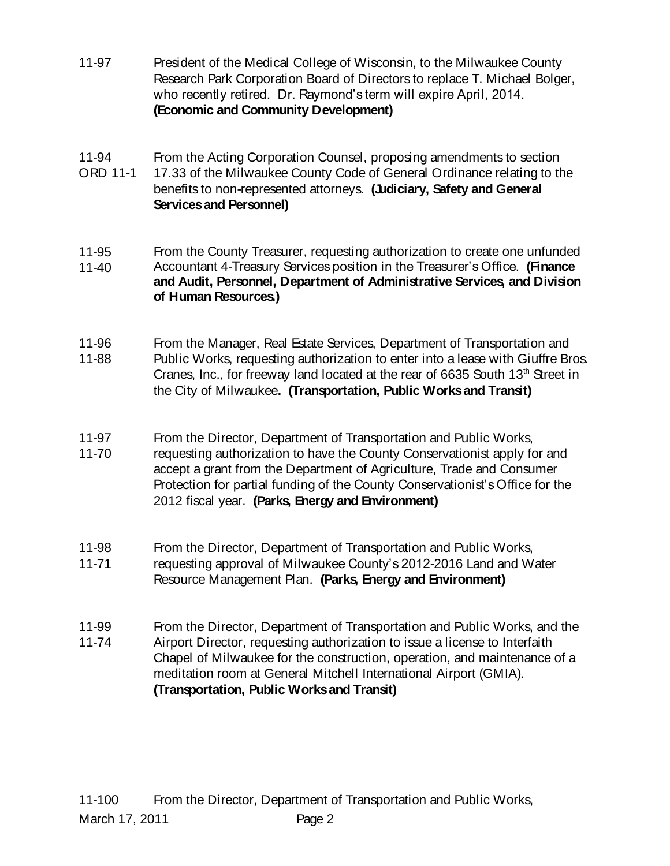- 11-97 President of the Medical College of Wisconsin, to the Milwaukee County Research Park Corporation Board of Directors to replace T. Michael Bolger, who recently retired. Dr. Raymond's term will expire April, 2014. **(Economic and Community Development)**
- 11-94 From the Acting Corporation Counsel, proposing amendments to section
- ORD 11-1 17.33 of the Milwaukee County Code of General Ordinance relating to the benefits to non-represented attorneys. **(Judiciary, Safety and General Services and Personnel)**
- 11-95 11-40 From the County Treasurer, requesting authorization to create one unfunded Accountant 4-Treasury Services position in the Treasurer's Office. **(Finance and Audit, Personnel, Department of Administrative Services, and Division of Human Resources.)**
- 11-96 11-88 From the Manager, Real Estate Services, Department of Transportation and Public Works, requesting authorization to enter into a lease with Giuffre Bros. Cranes, Inc., for freeway land located at the rear of 6635 South  $13<sup>th</sup>$  Street in the City of Milwaukee**. (Transportation, Public Works and Transit)**
- 11-97 11-70 From the Director, Department of Transportation and Public Works, requesting authorization to have the County Conservationist apply for and accept a grant from the Department of Agriculture, Trade and Consumer Protection for partial funding of the County Conservationist's Office for the 2012 fiscal year. **(Parks, Energy and Environment)**
- 11-98 From the Director, Department of Transportation and Public Works,
- 11-71 requesting approval of Milwaukee County's 2012-2016 Land and Water Resource Management Plan. **(Parks, Energy and Environment)**
- 11-99 11-74 From the Director, Department of Transportation and Public Works, and the Airport Director, requesting authorization to issue a license to Interfaith Chapel of Milwaukee for the construction, operation, and maintenance of a meditation room at General Mitchell International Airport (GMIA). **(Transportation, Public Works and Transit)**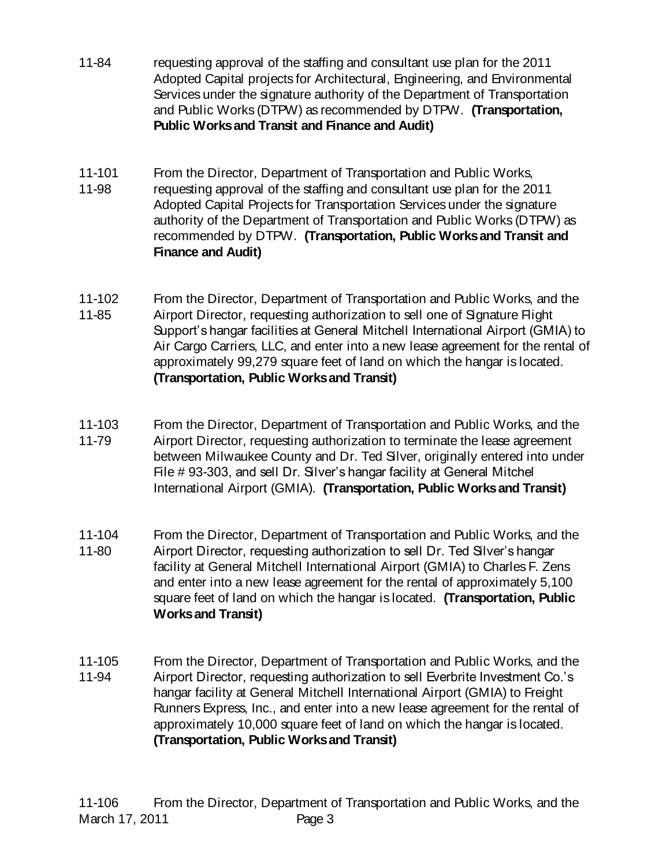- 11-84 requesting approval of the staffing and consultant use plan for the 2011 Adopted Capital projects for Architectural, Engineering, and Environmental Services under the signature authority of the Department of Transportation and Public Works (DTPW) as recommended by DTPW. **(Transportation, Public Works and Transit and Finance and Audit)**
- 11-101 11-98 From the Director, Department of Transportation and Public Works, requesting approval of the staffing and consultant use plan for the 2011 Adopted Capital Projects for Transportation Services under the signature authority of the Department of Transportation and Public Works (DTPW) as recommended by DTPW. **(Transportation, Public Works and Transit and Finance and Audit)**
- 11-102 11-85 From the Director, Department of Transportation and Public Works, and the Airport Director, requesting authorization to sell one of Signature Flight Support's hangar facilities at General Mitchell International Airport (GMIA) to Air Cargo Carriers, LLC, and enter into a new lease agreement for the rental of approximately 99,279 square feet of land on which the hangar is located. **(Transportation, Public Works and Transit)**
- 11-103 11-79 From the Director, Department of Transportation and Public Works, and the Airport Director, requesting authorization to terminate the lease agreement between Milwaukee County and Dr. Ted Silver, originally entered into under File # 93-303, and sell Dr. Silver's hangar facility at General Mitchel International Airport (GMIA). **(Transportation, Public Works and Transit)**
- 11-104 11-80 From the Director, Department of Transportation and Public Works, and the Airport Director, requesting authorization to sell Dr. Ted Silver's hangar facility at General Mitchell International Airport (GMIA) to Charles F. Zens and enter into a new lease agreement for the rental of approximately 5,100 square feet of land on which the hangar is located. **(Transportation, Public Works and Transit)**
- 11-105 11-94 From the Director, Department of Transportation and Public Works, and the Airport Director, requesting authorization to sell Everbrite Investment Co.'s hangar facility at General Mitchell International Airport (GMIA) to Freight Runners Express, Inc., and enter into a new lease agreement for the rental of approximately 10,000 square feet of land on which the hangar is located. **(Transportation, Public Works and Transit)**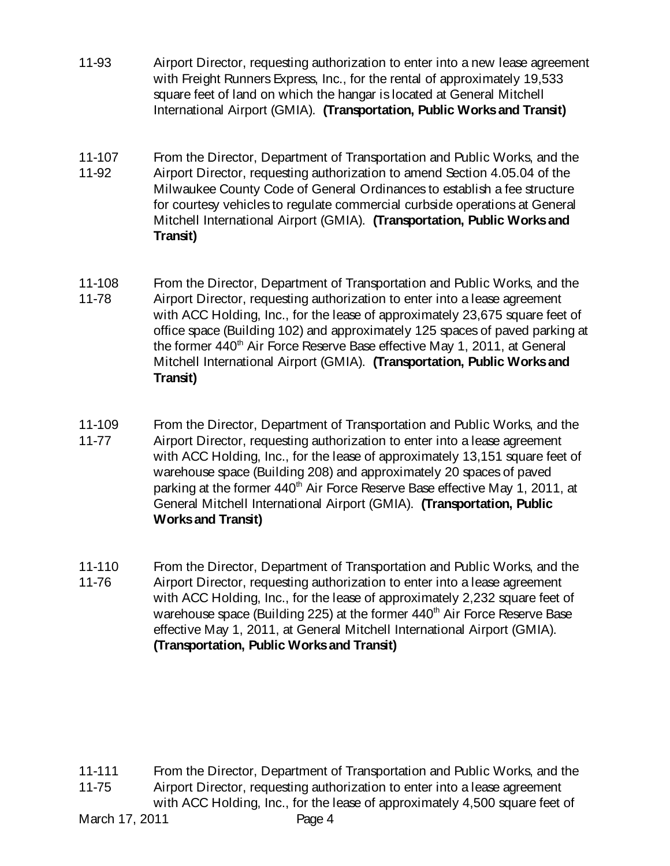- 11-93 Airport Director, requesting authorization to enter into a new lease agreement with Freight Runners Express, Inc., for the rental of approximately 19,533 square feet of land on which the hangar is located at General Mitchell International Airport (GMIA). **(Transportation, Public Works and Transit)**
- 11-107 11-92 From the Director, Department of Transportation and Public Works, and the Airport Director, requesting authorization to amend Section 4.05.04 of the Milwaukee County Code of General Ordinances to establish a fee structure for courtesy vehicles to regulate commercial curbside operations at General Mitchell International Airport (GMIA). **(Transportation, Public Works and Transit)**
- 11-108 11-78 From the Director, Department of Transportation and Public Works, and the Airport Director, requesting authorization to enter into a lease agreement with ACC Holding, Inc., for the lease of approximately 23,675 square feet of office space (Building 102) and approximately 125 spaces of paved parking at the former 440<sup>th</sup> Air Force Reserve Base effective May 1, 2011, at General Mitchell International Airport (GMIA). **(Transportation, Public Works and Transit)**
- 11-109 11-77 From the Director, Department of Transportation and Public Works, and the Airport Director, requesting authorization to enter into a lease agreement with ACC Holding, Inc., for the lease of approximately 13,151 square feet of warehouse space (Building 208) and approximately 20 spaces of paved parking at the former 440<sup>th</sup> Air Force Reserve Base effective May 1, 2011, at General Mitchell International Airport (GMIA). **(Transportation, Public Works and Transit)**
- 11-110 11-76 From the Director, Department of Transportation and Public Works, and the Airport Director, requesting authorization to enter into a lease agreement with ACC Holding, Inc., for the lease of approximately 2,232 square feet of warehouse space (Building 225) at the former 440<sup>th</sup> Air Force Reserve Base effective May 1, 2011, at General Mitchell International Airport (GMIA). **(Transportation, Public Works and Transit)**

11-111 11-75 From the Director, Department of Transportation and Public Works, and the Airport Director, requesting authorization to enter into a lease agreement with ACC Holding, Inc., for the lease of approximately 4,500 square feet of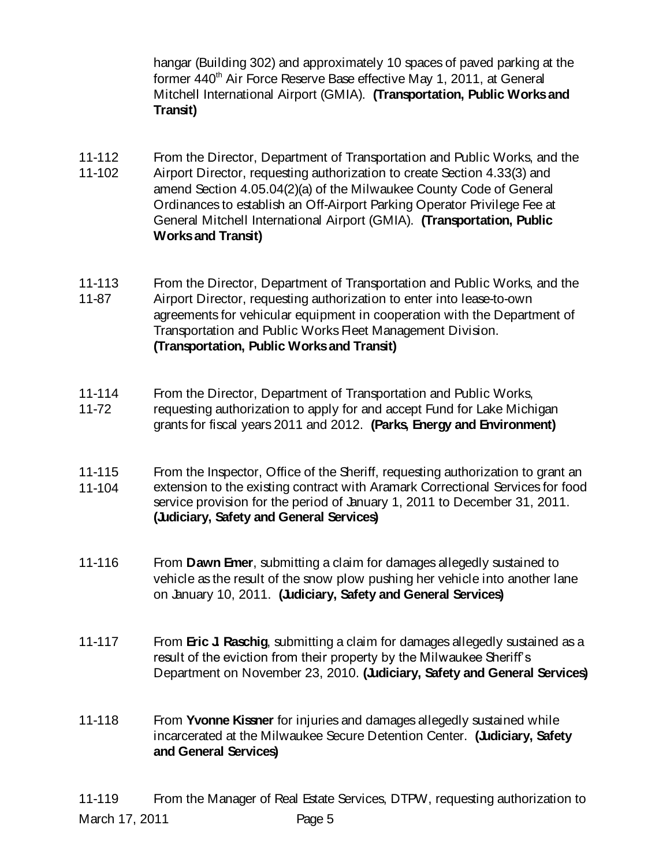hangar (Building 302) and approximately 10 spaces of paved parking at the former 440<sup>th</sup> Air Force Reserve Base effective May 1, 2011, at General Mitchell International Airport (GMIA). **(Transportation, Public Works and Transit)**

- 11-112 From the Director, Department of Transportation and Public Works, and the
- 11-102 Airport Director, requesting authorization to create Section 4.33(3) and amend Section 4.05.04(2)(a) of the Milwaukee County Code of General Ordinances to establish an Off-Airport Parking Operator Privilege Fee at General Mitchell International Airport (GMIA). **(Transportation, Public Works and Transit)**
- 11-113 11-87 From the Director, Department of Transportation and Public Works, and the Airport Director, requesting authorization to enter into lease-to-own agreements for vehicular equipment in cooperation with the Department of Transportation and Public Works Fleet Management Division. **(Transportation, Public Works and Transit)**
- 11-114 11-72 From the Director, Department of Transportation and Public Works, requesting authorization to apply for and accept Fund for Lake Michigan grants for fiscal years 2011 and 2012. **(Parks, Energy and Environment)**
- 11-115 11-104 From the Inspector, Office of the Sheriff, requesting authorization to grant an extension to the existing contract with Aramark Correctional Services for food service provision for the period of January 1, 2011 to December 31, 2011. **(Judiciary, Safety and General Services)**
- 11-116 From **Dawn Emer**, submitting a claim for damages allegedly sustained to vehicle as the result of the snow plow pushing her vehicle into another lane on January 10, 2011. **(Judiciary, Safety and General Services)**
- 11-117 From **Eric J. Raschig**, submitting a claim for damages allegedly sustained as a result of the eviction from their property by the Milwaukee Sheriff's Department on November 23, 2010. **(Judiciary, Safety and General Services)**
- 11-118 From **Yvonne Kissner** for injuries and damages allegedly sustained while incarcerated at the Milwaukee Secure Detention Center. **(Judiciary, Safety and General Services)**

March 17, 2011 **Page 5** 11-119 From the Manager of Real Estate Services, DTPW, requesting authorization to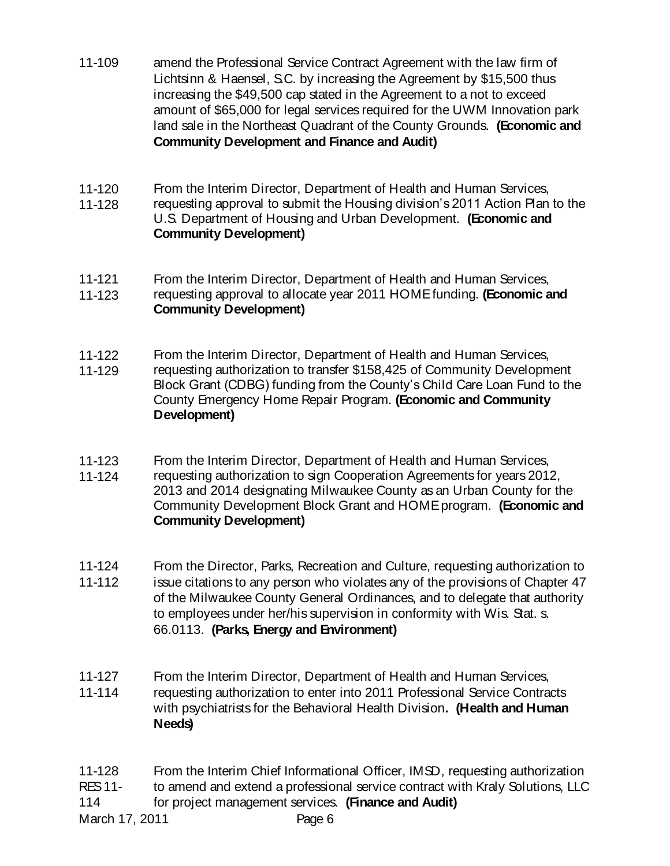- 11-109 amend the Professional Service Contract Agreement with the law firm of Lichtsinn & Haensel, S.C. by increasing the Agreement by \$15,500 thus increasing the \$49,500 cap stated in the Agreement to a not to exceed amount of \$65,000 for legal services required for the UWM Innovation park land sale in the Northeast Quadrant of the County Grounds. **(Economic and Community Development and Finance and Audit)**
- 11-120 From the Interim Director, Department of Health and Human Services,
- 11-128 requesting approval to submit the Housing division's 2011 Action Plan to the U.S. Department of Housing and Urban Development. **(Economic and Community Development)**
- 11-121 From the Interim Director, Department of Health and Human Services,
- 11-123 requesting approval to allocate year 2011 HOME funding. **(Economic and Community Development)**
- 11-122 From the Interim Director, Department of Health and Human Services,
- 11-129 requesting authorization to transfer \$158,425 of Community Development Block Grant (CDBG) funding from the County's Child Care Loan Fund to the County Emergency Home Repair Program. **(Economic and Community Development)**
- 11-123 11-124 From the Interim Director, Department of Health and Human Services, requesting authorization to sign Cooperation Agreements for years 2012, 2013 and 2014 designating Milwaukee County as an Urban County for the
- Community Development Block Grant and HOME program. **(Economic and Community Development)**
- 11-124 11-112 From the Director, Parks, Recreation and Culture, requesting authorization to issue citations to any person who violates any of the provisions of Chapter 47 of the Milwaukee County General Ordinances, and to delegate that authority to employees under her/his supervision in conformity with Wis. Stat. s. 66.0113. **(Parks, Energy and Environment)**
- 11-127 11-114 From the Interim Director, Department of Health and Human Services, requesting authorization to enter into 2011 Professional Service Contracts with psychiatrists for the Behavioral Health Division**. (Health and Human Needs)**
- 11-128 From the Interim Chief Informational Officer, IMSD, requesting authorization
- RES 11 to amend and extend a professional service contract with Kraly Solutions, LLC
- 114 for project management services. **(Finance and Audit)**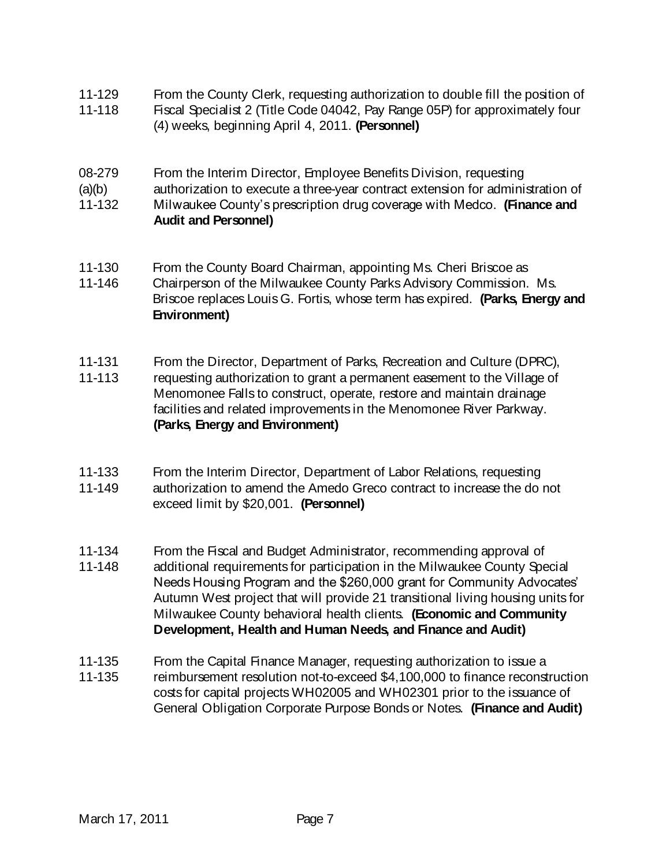- 11-129 From the County Clerk, requesting authorization to double fill the position of
- 11-118 Fiscal Specialist 2 (Title Code 04042, Pay Range 05P) for approximately four (4) weeks, beginning April 4, 2011. **(Personnel)**
- 08-279 From the Interim Director, Employee Benefits Division, requesting
- $(a)(b)$ authorization to execute a three-year contract extension for administration of
- 11-132 Milwaukee County's prescription drug coverage with Medco. **(Finance and Audit and Personnel)**
- 11-130 From the County Board Chairman, appointing Ms. Cheri Briscoe as
- 11-146 Chairperson of the Milwaukee County Parks Advisory Commission. Ms. Briscoe replaces Louis G. Fortis, whose term has expired. **(Parks, Energy and Environment)**
- 11-131 From the Director, Department of Parks, Recreation and Culture (DPRC),
- 11-113 requesting authorization to grant a permanent easement to the Village of Menomonee Falls to construct, operate, restore and maintain drainage facilities and related improvements in the Menomonee River Parkway. **(Parks, Energy and Environment)**
- 11-133 11-149 From the Interim Director, Department of Labor Relations, requesting authorization to amend the Amedo Greco contract to increase the do not exceed limit by \$20,001. **(Personnel)**
- 11-134 From the Fiscal and Budget Administrator, recommending approval of
- 11-148 additional requirements for participation in the Milwaukee County Special Needs Housing Program and the \$260,000 grant for Community Advocates' Autumn West project that will provide 21 transitional living housing units for Milwaukee County behavioral health clients. **(Economic and Community Development, Health and Human Needs, and Finance and Audit)**
- 11-135 11-135 From the Capital Finance Manager, requesting authorization to issue a reimbursement resolution not-to-exceed \$4,100,000 to finance reconstruction costs for capital projects WH02005 and WH02301 prior to the issuance of General Obligation Corporate Purpose Bonds or Notes. **(Finance and Audit)**